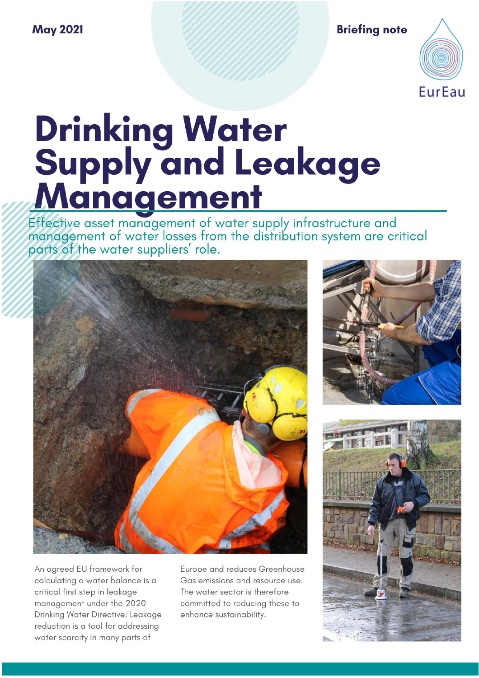### **May 2021**

**Briefing note** 



# **Drinking Water<br>Supply and Leakage<br><u>Management</u>**

Effective asset management of water supply infrastructure and<br>management of water losses from the distribution system are critical parts of the water suppliers' role.



An agreed EU framework for calculating a water balance is a critical first step in leakage management under the 2020 Drinking Water Directive. Leakage reduction is a tool for addressing water scarcity in many parts of

Europe and reduces Greenhouse Gas emissions and resource use. The water sector is therefore committed to reducing these to enhance sustainability.



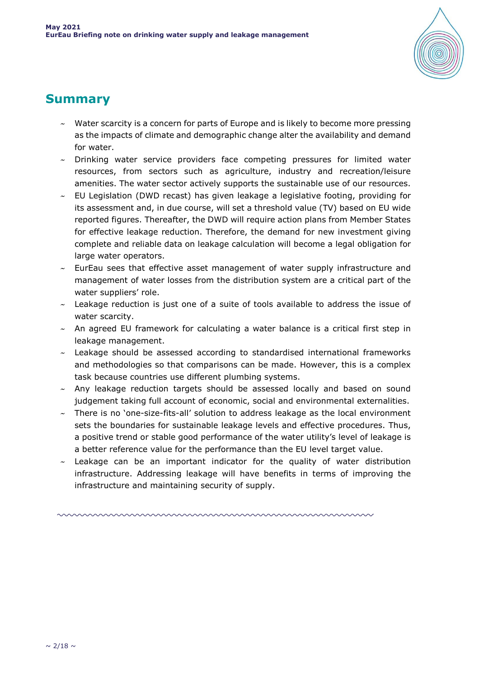

### **Summary**

- Water scarcity is a concern for parts of Europe and is likely to become more pressing as the impacts of climate and demographic change alter the availability and demand for water.
- $\sim$  Drinking water service providers face competing pressures for limited water resources, from sectors such as agriculture, industry and recreation/leisure amenities. The water sector actively supports the sustainable use of our resources.
- $\sim$  EU Legislation (DWD recast) has given leakage a legislative footing, providing for its assessment and, in due course, will set a threshold value (TV) based on EU wide reported figures. Thereafter, the DWD will require action plans from Member States for effective leakage reduction. Therefore, the demand for new investment giving complete and reliable data on leakage calculation will become a legal obligation for large water operators.
- $\sim$  EurEau sees that effective asset management of water supply infrastructure and management of water losses from the distribution system are a critical part of the water suppliers' role.
- $\sim$  Leakage reduction is just one of a suite of tools available to address the issue of water scarcity.
- $\sim$  An agreed EU framework for calculating a water balance is a critical first step in leakage management.
- $\sim$  Leakage should be assessed according to standardised international frameworks and methodologies so that comparisons can be made. However, this is a complex task because countries use different plumbing systems.
- $\sim$  Any leakage reduction targets should be assessed locally and based on sound judgement taking full account of economic, social and environmental externalities.
- $\sim$  There is no 'one-size-fits-all' solution to address leakage as the local environment sets the boundaries for sustainable leakage levels and effective procedures. Thus, a positive trend or stable good performance of the water utility's level of leakage is a better reference value for the performance than the EU level target value.
- Leakage can be an important indicator for the quality of water distribution infrastructure. Addressing leakage will have benefits in terms of improving the infrastructure and maintaining security of supply.

mmmmmmmmmmmmmmmmmm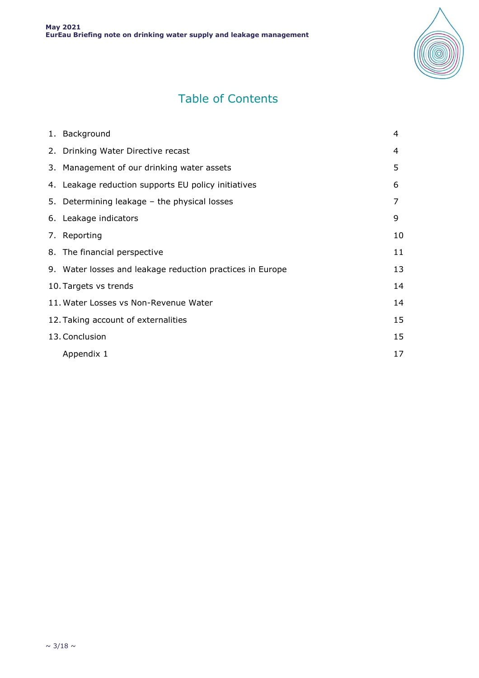

# Table of Contents

| 1. Background                                             | 4  |
|-----------------------------------------------------------|----|
| 2. Drinking Water Directive recast                        | 4  |
| 3. Management of our drinking water assets                | 5  |
| 4. Leakage reduction supports EU policy initiatives       | 6  |
| 5. Determining leakage – the physical losses              | 7  |
| 6. Leakage indicators                                     | 9  |
| 7. Reporting                                              | 10 |
| 8. The financial perspective                              | 11 |
| 9. Water losses and leakage reduction practices in Europe | 13 |
| 10. Targets vs trends                                     | 14 |
| 11. Water Losses vs Non-Revenue Water                     | 14 |
| 12. Taking account of externalities                       | 15 |
| 13. Conclusion                                            | 15 |
| Appendix 1                                                | 17 |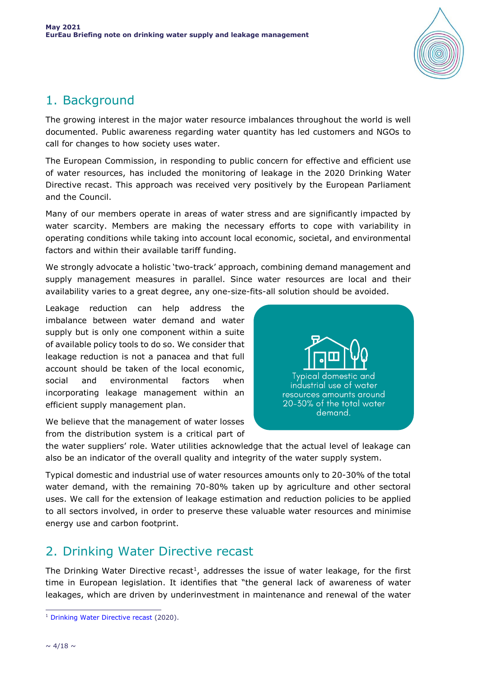

# 1. Background

The growing interest in the major water resource imbalances throughout the world is well documented. Public awareness regarding water quantity has led customers and NGOs to call for changes to how society uses water.

The European Commission, in responding to public concern for effective and efficient use of water resources, has included the monitoring of leakage in the 2020 Drinking Water Directive recast. This approach was received very positively by the European Parliament and the Council.

Many of our members operate in areas of water stress and are significantly impacted by water scarcity. Members are making the necessary efforts to cope with variability in operating conditions while taking into account local economic, societal, and environmental factors and within their available tariff funding.

We strongly advocate a holistic 'two-track' approach, combining demand management and supply management measures in parallel. Since water resources are local and their availability varies to a great degree, any one-size-fits-all solution should be avoided.

Leakage reduction can help address the imbalance between water demand and water supply but is only one component within a suite of available policy tools to do so. We consider that leakage reduction is not a panacea and that full account should be taken of the local economic, social and environmental factors when incorporating leakage management within an efficient supply management plan.



We believe that the management of water losses from the distribution system is a critical part of

the water suppliers' role. Water utilities acknowledge that the actual level of leakage can also be an indicator of the overall quality and integrity of the water supply system.

Typical domestic and industrial use of water resources amounts only to 20-30% of the total water demand, with the remaining 70-80% taken up by agriculture and other sectoral uses. We call for the extension of leakage estimation and reduction policies to be applied to all sectors involved, in order to preserve these valuable water resources and minimise energy use and carbon footprint.

## 2. Drinking Water Directive recast

The Drinking Water Directive recast<sup>1</sup>, addresses the issue of water leakage, for the first time in European legislation. It identifies that "the general lack of awareness of water leakages, which are driven by underinvestment in maintenance and renewal of the water

<sup>1</sup> <sup>1</sup> [Drinking Water Directive recast](https://eur-lex.europa.eu/eli/dir/2020/2184/oj) (2020).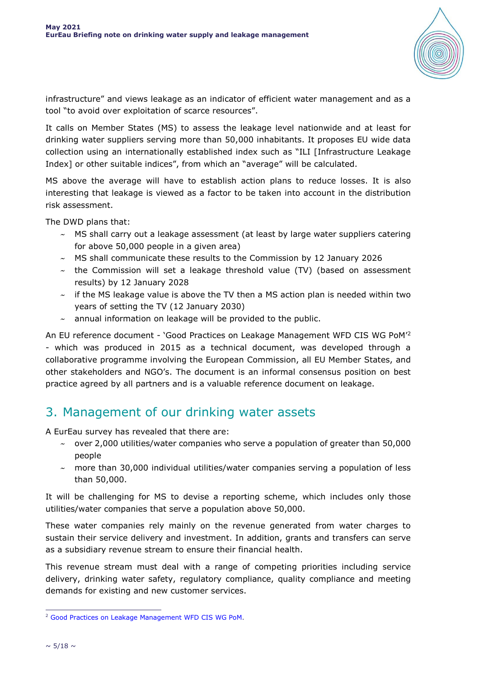

infrastructure" and views leakage as an indicator of efficient water management and as a tool "to avoid over exploitation of scarce resources".

It calls on Member States (MS) to assess the leakage level nationwide and at least for drinking water suppliers serving more than 50,000 inhabitants. It proposes EU wide data collection using an internationally established index such as "ILI [Infrastructure Leakage Index] or other suitable indices", from which an "average" will be calculated.

MS above the average will have to establish action plans to reduce losses. It is also interesting that leakage is viewed as a factor to be taken into account in the distribution risk assessment.

The DWD plans that:

- $\sim$  MS shall carry out a leakage assessment (at least by large water suppliers catering for above 50,000 people in a given area)
- $\sim$  MS shall communicate these results to the Commission by 12 January 2026
- $\sim$  the Commission will set a leakage threshold value (TV) (based on assessment results) by 12 January 2028
- $\sim$  if the MS leakage value is above the TV then a MS action plan is needed within two years of setting the TV (12 January 2030)
- $\sim$  annual information on leakage will be provided to the public.

An EU reference document - 'Good Practices on Leakage Management WFD CIS WG PoM' 2 - which was produced in 2015 as a technical document, was developed through a collaborative programme involving the European Commission, all EU Member States, and other stakeholders and NGO's. The document is an informal consensus position on best practice agreed by all partners and is a valuable reference document on leakage.

### 3. Management of our drinking water assets

A EurEau survey has revealed that there are:

- $\sim$  over 2,000 utilities/water companies who serve a population of greater than 50,000 people
- $\sim$  more than 30,000 individual utilities/water companies serving a population of less than 50,000.

It will be challenging for MS to devise a reporting scheme, which includes only those utilities/water companies that serve a population above 50,000.

These water companies rely mainly on the revenue generated from water charges to sustain their service delivery and investment. In addition, grants and transfers can serve as a subsidiary revenue stream to ensure their financial health.

This revenue stream must deal with a range of competing priorities including service delivery, drinking water safety, regulatory compliance, quality compliance and meeting demands for existing and new customer services.

<sup>1</sup> <sup>2</sup> [Good Practices on Leakage Management WFD](https://circabc.europa.eu/sd/a/1ddfba34-e1ce-4888-b031-6c559cb28e47/Good%20Practices%20on%20Leakage%20Management%20-%20Main%20Report_Final.pdf) CIS WG PoM.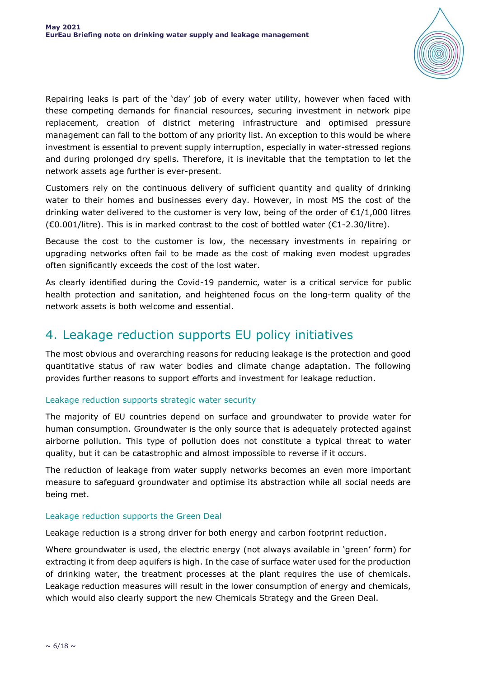

Repairing leaks is part of the 'day' job of every water utility, however when faced with these competing demands for financial resources, securing investment in network pipe replacement, creation of district metering infrastructure and optimised pressure management can fall to the bottom of any priority list. An exception to this would be where investment is essential to prevent supply interruption, especially in water-stressed regions and during prolonged dry spells. Therefore, it is inevitable that the temptation to let the network assets age further is ever-present.

Customers rely on the continuous delivery of sufficient quantity and quality of drinking water to their homes and businesses every day. However, in most MS the cost of the drinking water delivered to the customer is very low, being of the order of  $\epsilon$ 1/1,000 litres  $(60.001/l$ itre). This is in marked contrast to the cost of bottled water  $(61$ -2.30/litre).

Because the cost to the customer is low, the necessary investments in repairing or upgrading networks often fail to be made as the cost of making even modest upgrades often significantly exceeds the cost of the lost water.

As clearly identified during the Covid-19 pandemic, water is a critical service for public health protection and sanitation, and heightened focus on the long-term quality of the network assets is both welcome and essential.

### 4. Leakage reduction supports EU policy initiatives

The most obvious and overarching reasons for reducing leakage is the protection and good quantitative status of raw water bodies and climate change adaptation. The following provides further reasons to support efforts and investment for leakage reduction.

### Leakage reduction supports strategic water security

The majority of EU countries depend on surface and groundwater to provide water for human consumption. Groundwater is the only source that is adequately protected against airborne pollution. This type of pollution does not constitute a typical threat to water quality, but it can be catastrophic and almost impossible to reverse if it occurs.

The reduction of leakage from water supply networks becomes an even more important measure to safeguard groundwater and optimise its abstraction while all social needs are being met.

### Leakage reduction supports the Green Deal

Leakage reduction is a strong driver for both energy and carbon footprint reduction.

Where groundwater is used, the electric energy (not always available in 'green' form) for extracting it from deep aquifers is high. In the case of surface water used for the production of drinking water, the treatment processes at the plant requires the use of chemicals. Leakage reduction measures will result in the lower consumption of energy and chemicals, which would also clearly support the new Chemicals Strategy and the Green Deal.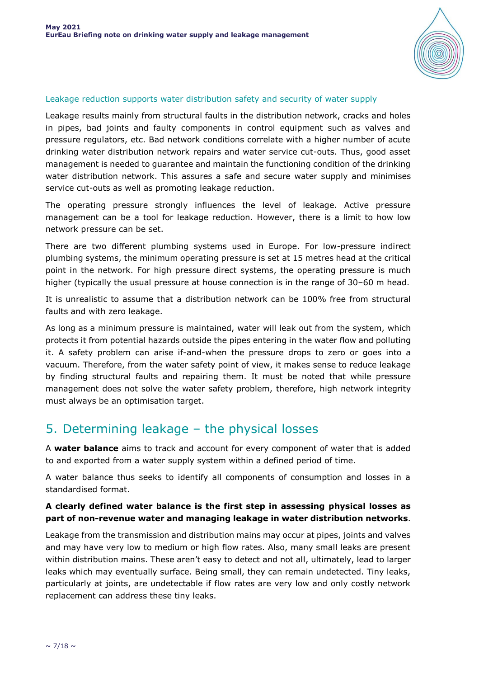

### Leakage reduction supports water distribution safety and security of water supply

Leakage results mainly from structural faults in the distribution network, cracks and holes in pipes, bad joints and faulty components in control equipment such as valves and pressure regulators, etc. Bad network conditions correlate with a higher number of acute drinking water distribution network repairs and water service cut-outs. Thus, good asset management is needed to guarantee and maintain the functioning condition of the drinking water distribution network. This assures a safe and secure water supply and minimises service cut-outs as well as promoting leakage reduction.

The operating pressure strongly influences the level of leakage. Active pressure management can be a tool for leakage reduction. However, there is a limit to how low network pressure can be set.

There are two different plumbing systems used in Europe. For low-pressure indirect plumbing systems, the minimum operating pressure is set at 15 metres head at the critical point in the network. For high pressure direct systems, the operating pressure is much higher (typically the usual pressure at house connection is in the range of 30–60 m head.

It is unrealistic to assume that a distribution network can be 100% free from structural faults and with zero leakage.

As long as a minimum pressure is maintained, water will leak out from the system, which protects it from potential hazards outside the pipes entering in the water flow and polluting it. A safety problem can arise if-and-when the pressure drops to zero or goes into a vacuum. Therefore, from the water safety point of view, it makes sense to reduce leakage by finding structural faults and repairing them. It must be noted that while pressure management does not solve the water safety problem, therefore, high network integrity must always be an optimisation target.

### 5. Determining leakage – the physical losses

A **water balance** aims to track and account for every component of water that is added to and exported from a water supply system within a defined period of time.

A water balance thus seeks to identify all components of consumption and losses in a standardised format.

### **A clearly defined water balance is the first step in assessing physical losses as part of non-revenue water and managing leakage in water distribution networks**.

Leakage from the transmission and distribution mains may occur at pipes, joints and valves and may have very low to medium or high flow rates. Also, many small leaks are present within distribution mains. These aren't easy to detect and not all, ultimately, lead to larger leaks which may eventually surface. Being small, they can remain undetected. Tiny leaks, particularly at joints, are undetectable if flow rates are very low and only costly network replacement can address these tiny leaks.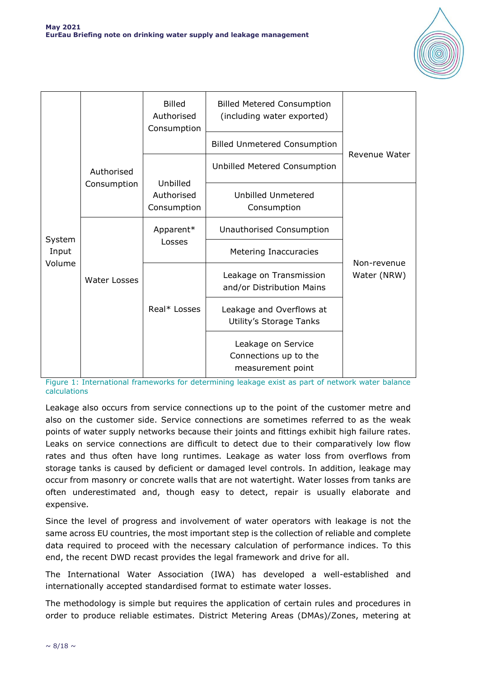

|        |                           | <b>Billed</b><br>Authorised<br>Consumption | <b>Billed Metered Consumption</b><br>(including water exported)  |                            |  |
|--------|---------------------------|--------------------------------------------|------------------------------------------------------------------|----------------------------|--|
|        | Authorised<br>Consumption | <b>Billed Unmetered Consumption</b>        |                                                                  | <b>Revenue Water</b>       |  |
|        |                           |                                            | Unbilled Metered Consumption                                     |                            |  |
|        |                           | Unbilled<br>Authorised<br>Consumption      | Unbilled Unmetered<br>Consumption                                |                            |  |
| System | Water Losses              | Apparent*                                  | Unauthorised Consumption                                         |                            |  |
| Input  |                           | Losses                                     | Metering Inaccuracies                                            | Non-revenue<br>Water (NRW) |  |
| Volume |                           |                                            | Leakage on Transmission<br>and/or Distribution Mains             |                            |  |
|        |                           | Real* Losses                               | Leakage and Overflows at<br>Utility's Storage Tanks              |                            |  |
|        |                           |                                            | Leakage on Service<br>Connections up to the<br>measurement point |                            |  |

Figure 1: International frameworks for determining leakage exist as part of network water balance calculations

Leakage also occurs from service connections up to the point of the customer metre and also on the customer side. Service connections are sometimes referred to as the weak points of water supply networks because their joints and fittings exhibit high failure rates. Leaks on service connections are difficult to detect due to their comparatively low flow rates and thus often have long runtimes. Leakage as water loss from overflows from storage tanks is caused by deficient or damaged level controls. In addition, leakage may occur from masonry or concrete walls that are not watertight. Water losses from tanks are often underestimated and, though easy to detect, repair is usually elaborate and expensive.

Since the level of progress and involvement of water operators with leakage is not the same across EU countries, the most important step is the collection of reliable and complete data required to proceed with the necessary calculation of performance indices. To this end, the recent DWD recast provides the legal framework and drive for all.

The International Water Association (IWA) has developed a well-established and internationally accepted standardised format to estimate water losses.

The methodology is simple but requires the application of certain rules and procedures in order to produce reliable estimates. District Metering Areas (DMAs)/Zones, metering at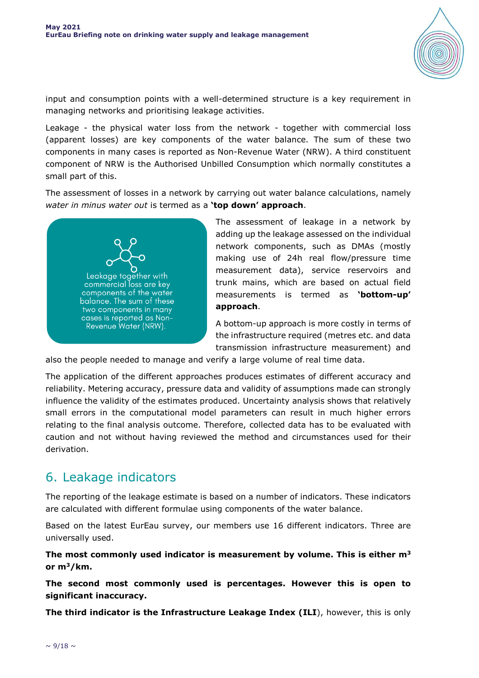

input and consumption points with a well-determined structure is a key requirement in managing networks and prioritising leakage activities.

Leakage - the physical water loss from the network - together with commercial loss (apparent losses) are key components of the water balance. The sum of these two components in many cases is reported as Non-Revenue Water (NRW). A third constituent component of NRW is the Authorised Unbilled Consumption which normally constitutes a small part of this.

The assessment of losses in a network by carrying out water balance calculations, namely *water in minus water out* is termed as a **'top down' approach**.



The assessment of leakage in a network by adding up the leakage assessed on the individual network components, such as DMAs (mostly making use of 24h real flow/pressure time measurement data), service reservoirs and trunk mains, which are based on actual field measurements is termed as **'bottom-up' approach**.

A bottom-up approach is more costly in terms of the infrastructure required (metres etc. and data transmission infrastructure measurement) and

also the people needed to manage and verify a large volume of real time data.

The application of the different approaches produces estimates of different accuracy and reliability. Metering accuracy, pressure data and validity of assumptions made can strongly influence the validity of the estimates produced. Uncertainty analysis shows that relatively small errors in the computational model parameters can result in much higher errors relating to the final analysis outcome. Therefore, collected data has to be evaluated with caution and not without having reviewed the method and circumstances used for their derivation.

### 6. Leakage indicators

The reporting of the leakage estimate is based on a number of indicators. These indicators are calculated with different formulae using components of the water balance.

Based on the latest EurEau survey, our members use 16 different indicators. Three are universally used.

**The most commonly used indicator is measurement by volume. This is either m<sup>3</sup> or m<sup>3</sup>/km.**

**The second most commonly used is percentages. However this is open to significant inaccuracy.**

**The third indicator is the Infrastructure Leakage Index (ILI**), however, this is only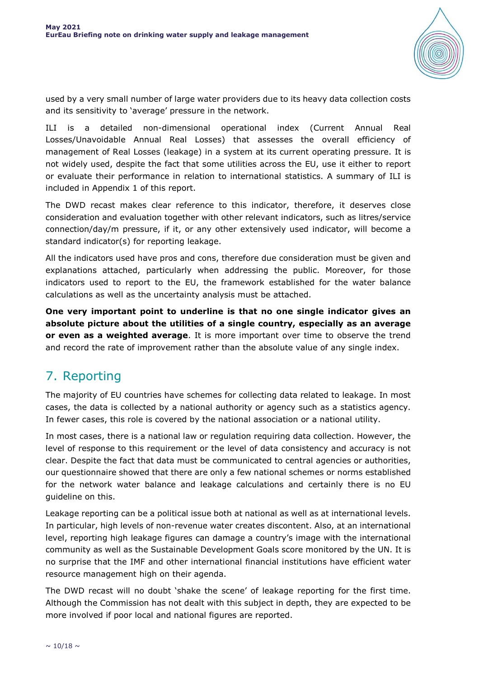

used by a very small number of large water providers due to its heavy data collection costs and its sensitivity to 'average' pressure in the network.

ILI is a detailed non-dimensional operational index (Current Annual Real Losses/Unavoidable Annual Real Losses) that assesses the overall efficiency of management of Real Losses (leakage) in a system at its current operating pressure. It is not widely used, despite the fact that some utilities across the EU, use it either to report or evaluate their performance in relation to international statistics. A summary of ILI is included in Appendix 1 of this report.

The DWD recast makes clear reference to this indicator, therefore, it deserves close consideration and evaluation together with other relevant indicators, such as litres/service connection/day/m pressure, if it, or any other extensively used indicator, will become a standard indicator(s) for reporting leakage.

All the indicators used have pros and cons, therefore due consideration must be given and explanations attached, particularly when addressing the public. Moreover, for those indicators used to report to the EU, the framework established for the water balance calculations as well as the uncertainty analysis must be attached.

**One very important point to underline is that no one single indicator gives an absolute picture about the utilities of a single country, especially as an average or even as a weighted average**. It is more important over time to observe the trend and record the rate of improvement rather than the absolute value of any single index.

# 7. Reporting

The majority of EU countries have schemes for collecting data related to leakage. In most cases, the data is collected by a national authority or agency such as a statistics agency. In fewer cases, this role is covered by the national association or a national utility.

In most cases, there is a national law or regulation requiring data collection. However, the level of response to this requirement or the level of data consistency and accuracy is not clear. Despite the fact that data must be communicated to central agencies or authorities, our questionnaire showed that there are only a few national schemes or norms established for the network water balance and leakage calculations and certainly there is no EU guideline on this.

Leakage reporting can be a political issue both at national as well as at international levels. In particular, high levels of non-revenue water creates discontent. Also, at an international level, reporting high leakage figures can damage a country's image with the international community as well as the Sustainable Development Goals score monitored by the UN. It is no surprise that the IMF and other international financial institutions have efficient water resource management high on their agenda.

The DWD recast will no doubt 'shake the scene' of leakage reporting for the first time. Although the Commission has not dealt with this subject in depth, they are expected to be more involved if poor local and national figures are reported.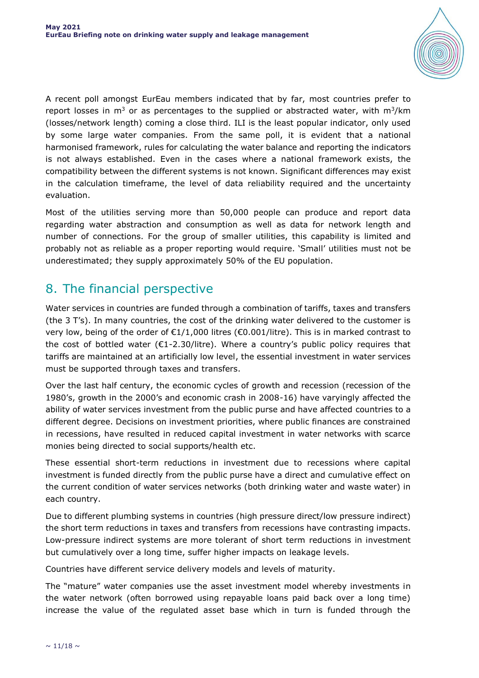

A recent poll amongst EurEau members indicated that by far, most countries prefer to report losses in  $m<sup>3</sup>$  or as percentages to the supplied or abstracted water, with  $m<sup>3</sup>/km$ (losses/network length) coming a close third. ILI is the least popular indicator, only used by some large water companies. From the same poll, it is evident that a national harmonised framework, rules for calculating the water balance and reporting the indicators is not always established. Even in the cases where a national framework exists, the compatibility between the different systems is not known. Significant differences may exist in the calculation timeframe, the level of data reliability required and the uncertainty evaluation.

Most of the utilities serving more than 50,000 people can produce and report data regarding water abstraction and consumption as well as data for network length and number of connections. For the group of smaller utilities, this capability is limited and probably not as reliable as a proper reporting would require. 'Small' utilities must not be underestimated; they supply approximately 50% of the EU population.

## 8. The financial perspective

Water services in countries are funded through a combination of tariffs, taxes and transfers (the 3 T's). In many countries, the cost of the drinking water delivered to the customer is very low, being of the order of €1/1,000 litres (€0.001/litre). This is in marked contrast to the cost of bottled water ( $\epsilon$ 1-2.30/litre). Where a country's public policy requires that tariffs are maintained at an artificially low level, the essential investment in water services must be supported through taxes and transfers.

Over the last half century, the economic cycles of growth and recession (recession of the 1980's, growth in the 2000's and economic crash in 2008-16) have varyingly affected the ability of water services investment from the public purse and have affected countries to a different degree. Decisions on investment priorities, where public finances are constrained in recessions, have resulted in reduced capital investment in water networks with scarce monies being directed to social supports/health etc.

These essential short-term reductions in investment due to recessions where capital investment is funded directly from the public purse have a direct and cumulative effect on the current condition of water services networks (both drinking water and waste water) in each country.

Due to different plumbing systems in countries (high pressure direct/low pressure indirect) the short term reductions in taxes and transfers from recessions have contrasting impacts. Low-pressure indirect systems are more tolerant of short term reductions in investment but cumulatively over a long time, suffer higher impacts on leakage levels.

Countries have different service delivery models and levels of maturity.

The "mature" water companies use the asset investment model whereby investments in the water network (often borrowed using repayable loans paid back over a long time) increase the value of the regulated asset base which in turn is funded through the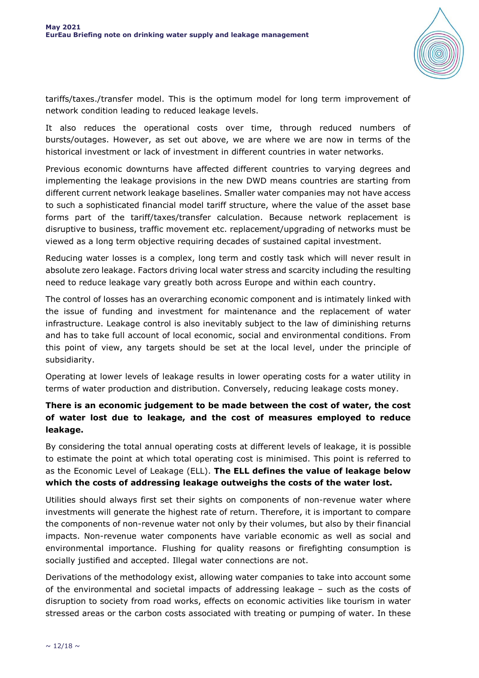

tariffs/taxes./transfer model. This is the optimum model for long term improvement of network condition leading to reduced leakage levels.

It also reduces the operational costs over time, through reduced numbers of bursts/outages. However, as set out above, we are where we are now in terms of the historical investment or lack of investment in different countries in water networks.

Previous economic downturns have affected different countries to varying degrees and implementing the leakage provisions in the new DWD means countries are starting from different current network leakage baselines. Smaller water companies may not have access to such a sophisticated financial model tariff structure, where the value of the asset base forms part of the tariff/taxes/transfer calculation. Because network replacement is disruptive to business, traffic movement etc. replacement/upgrading of networks must be viewed as a long term objective requiring decades of sustained capital investment.

Reducing water losses is a complex, long term and costly task which will never result in absolute zero leakage. Factors driving local water stress and scarcity including the resulting need to reduce leakage vary greatly both across Europe and within each country.

The control of losses has an overarching economic component and is intimately linked with the issue of funding and investment for maintenance and the replacement of water infrastructure. Leakage control is also inevitably subject to the law of diminishing returns and has to take full account of local economic, social and environmental conditions. From this point of view, any targets should be set at the local level, under the principle of subsidiarity.

Operating at lower levels of leakage results in lower operating costs for a water utility in terms of water production and distribution. Conversely, reducing leakage costs money.

### **There is an economic judgement to be made between the cost of water, the cost of water lost due to leakage, and the cost of measures employed to reduce leakage.**

By considering the total annual operating costs at different levels of leakage, it is possible to estimate the point at which total operating cost is minimised. This point is referred to as the Economic Level of Leakage (ELL). **The ELL defines the value of leakage below which the costs of addressing leakage outweighs the costs of the water lost.**

Utilities should always first set their sights on components of non-revenue water where investments will generate the highest rate of return. Therefore, it is important to compare the components of non-revenue water not only by their volumes, but also by their financial impacts. Non-revenue water components have variable economic as well as social and environmental importance. Flushing for quality reasons or firefighting consumption is socially justified and accepted. Illegal water connections are not.

Derivations of the methodology exist, allowing water companies to take into account some of the environmental and societal impacts of addressing leakage – such as the costs of disruption to society from road works, effects on economic activities like tourism in water stressed areas or the carbon costs associated with treating or pumping of water. In these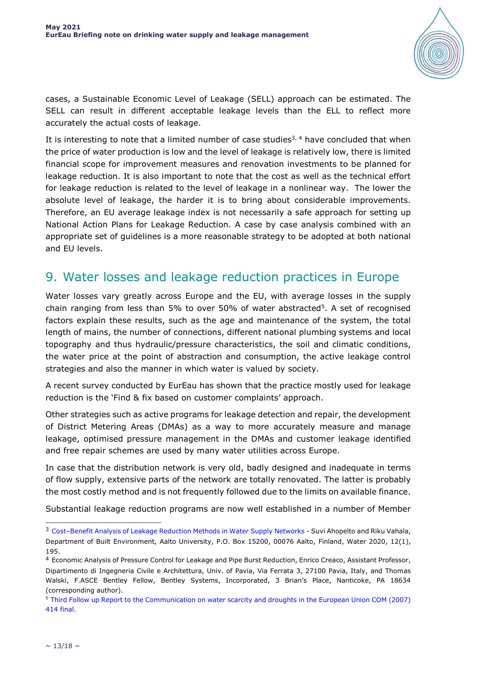

cases, a Sustainable Economic Level of Leakage (SELL) approach can be estimated. The SELL can result in different acceptable leakage levels than the ELL to reflect more accurately the actual costs of leakage.

It is interesting to note that a limited number of case studies<sup>3, 4</sup> have concluded that when the price of water production is low and the level of leakage is relatively low, there is limited financial scope for improvement measures and renovation investments to be planned for leakage reduction. It is also important to note that the cost as well as the technical effort for leakage reduction is related to the level of leakage in a nonlinear way. The lower the absolute level of leakage, the harder it is to bring about considerable improvements. Therefore, an EU average leakage index is not necessarily a safe approach for setting up National Action Plans for Leakage Reduction. A case by case analysis combined with an appropriate set of guidelines is a more reasonable strategy to be adopted at both national and EU levels.

### 9. Water losses and leakage reduction practices in Europe

Water losses vary greatly across Europe and the EU, with average losses in the supply chain ranging from less than 5% to over 50% of water abstracted<sup>5</sup>. A set of recognised factors explain these results, such as the age and maintenance of the system, the total length of mains, the number of connections, different national plumbing systems and local topography and thus hydraulic/pressure characteristics, the soil and climatic conditions, the water price at the point of abstraction and consumption, the active leakage control strategies and also the manner in which water is valued by society.

A recent survey conducted by EurEau has shown that the practice mostly used for leakage reduction is the 'Find & fix based on customer complaints' approach.

Other strategies such as active programs for leakage detection and repair, the development of District Metering Areas (DMAs) as a way to more accurately measure and manage leakage, optimised pressure management in the DMAs and customer leakage identified and free repair schemes are used by many water utilities across Europe.

In case that the distribution network is very old, badly designed and inadequate in terms of flow supply, extensive parts of the network are totally renovated. The latter is probably the most costly method and is not frequently followed due to the limits on available finance.

Substantial leakage reduction programs are now well established in a number of Member

i,

<sup>3</sup> Cost–[Benefit Analysis of Leakage Reduction Methods in Water Supply Networks](https://doi.org/10.3390/w12010195) - Suvi Ahopelto and Riku Vahala, Department of Built Environment, Aalto University, P.O. Box 15200, 00076 Aalto, Finland, Water 2020, 12(1), 195.

<sup>4</sup> Economic Analysis of Pressure Control for Leakage and Pipe Burst Reduction, Enrico Creaco, Assistant Professor, Dipartimento di Ingegneria Civile e Architettura, Univ. of Pavia, Via Ferrata 3, 27100 Pavia, Italy, and Thomas Walski, F.ASCE Bentley Fellow, Bentley Systems, Incorporated, 3 Brian's Place, Nanticoke, PA 18634 (corresponding author).

<sup>5</sup> [Third Follow up Report to the Communication on water scarcity and droughts in the European Union COM \(2007\)](https://eur-lex.europa.eu/LexUriServ/LexUriServ.do?uri=COM:2007:0414:FIN:EN:PDF)  [414 final.](https://eur-lex.europa.eu/LexUriServ/LexUriServ.do?uri=COM:2007:0414:FIN:EN:PDF)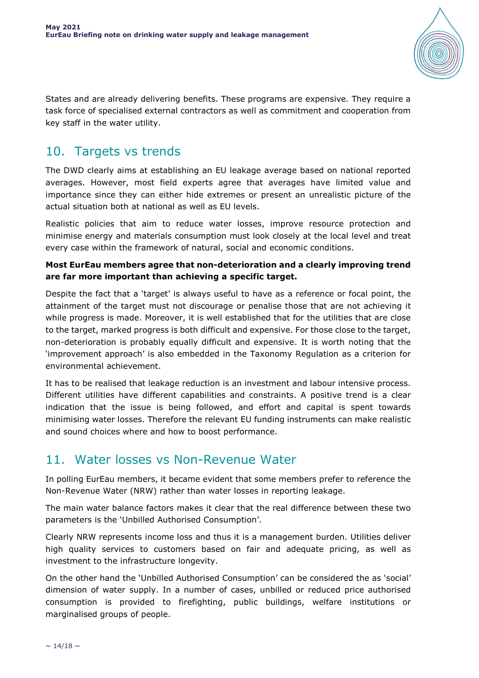

States and are already delivering benefits. These programs are expensive. They require a task force of specialised external contractors as well as commitment and cooperation from key staff in the water utility.

### 10. Targets vs trends

The DWD clearly aims at establishing an EU leakage average based on national reported averages. However, most field experts agree that averages have limited value and importance since they can either hide extremes or present an unrealistic picture of the actual situation both at national as well as EU levels.

Realistic policies that aim to reduce water losses, improve resource protection and minimise energy and materials consumption must look closely at the local level and treat every case within the framework of natural, social and economic conditions.

### **Most EurEau members agree that non-deterioration and a clearly improving trend are far more important than achieving a specific target.**

Despite the fact that a 'target' is always useful to have as a reference or focal point, the attainment of the target must not discourage or penalise those that are not achieving it while progress is made. Moreover, it is well established that for the utilities that are close to the target, marked progress is both difficult and expensive. For those close to the target, non-deterioration is probably equally difficult and expensive. It is worth noting that the 'improvement approach' is also embedded in the Taxonomy Regulation as a criterion for environmental achievement.

It has to be realised that leakage reduction is an investment and labour intensive process. Different utilities have different capabilities and constraints. A positive trend is a clear indication that the issue is being followed, and effort and capital is spent towards minimising water losses. Therefore the relevant EU funding instruments can make realistic and sound choices where and how to boost performance.

### 11. Water losses vs Non-Revenue Water

In polling EurEau members, it became evident that some members prefer to reference the Non-Revenue Water (NRW) rather than water losses in reporting leakage.

The main water balance factors makes it clear that the real difference between these two parameters is the 'Unbilled Authorised Consumption'.

Clearly NRW represents income loss and thus it is a management burden. Utilities deliver high quality services to customers based on fair and adequate pricing, as well as investment to the infrastructure longevity.

On the other hand the 'Unbilled Authorised Consumption' can be considered the as 'social' dimension of water supply. In a number of cases, unbilled or reduced price authorised consumption is provided to firefighting, public buildings, welfare institutions or marginalised groups of people.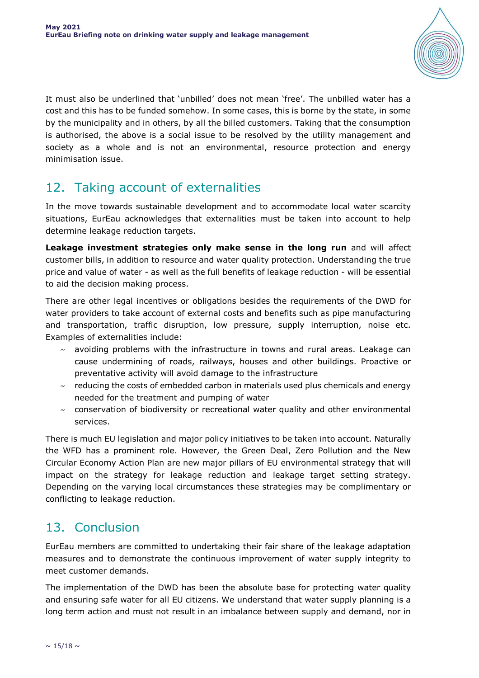

It must also be underlined that 'unbilled' does not mean 'free'. The unbilled water has a cost and this has to be funded somehow. In some cases, this is borne by the state, in some by the municipality and in others, by all the billed customers. Taking that the consumption is authorised, the above is a social issue to be resolved by the utility management and society as a whole and is not an environmental, resource protection and energy minimisation issue.

# 12. Taking account of externalities

In the move towards sustainable development and to accommodate local water scarcity situations, EurEau acknowledges that externalities must be taken into account to help determine leakage reduction targets.

**Leakage investment strategies only make sense in the long run** and will affect customer bills, in addition to resource and water quality protection. Understanding the true price and value of water - as well as the full benefits of leakage reduction - will be essential to aid the decision making process.

There are other legal incentives or obligations besides the requirements of the DWD for water providers to take account of external costs and benefits such as pipe manufacturing and transportation, traffic disruption, low pressure, supply interruption, noise etc. Examples of externalities include:

- $\sim$  avoiding problems with the infrastructure in towns and rural areas. Leakage can cause undermining of roads, railways, houses and other buildings. Proactive or preventative activity will avoid damage to the infrastructure
- $\sim$  reducing the costs of embedded carbon in materials used plus chemicals and energy needed for the treatment and pumping of water
- $\sim$  conservation of biodiversity or recreational water quality and other environmental services.

There is much EU legislation and major policy initiatives to be taken into account. Naturally the WFD has a prominent role. However, the Green Deal, Zero Pollution and the New Circular Economy Action Plan are new major pillars of EU environmental strategy that will impact on the strategy for leakage reduction and leakage target setting strategy. Depending on the varying local circumstances these strategies may be complimentary or conflicting to leakage reduction.

## 13. Conclusion

EurEau members are committed to undertaking their fair share of the leakage adaptation measures and to demonstrate the continuous improvement of water supply integrity to meet customer demands.

The implementation of the DWD has been the absolute base for protecting water quality and ensuring safe water for all EU citizens. We understand that water supply planning is a long term action and must not result in an imbalance between supply and demand, nor in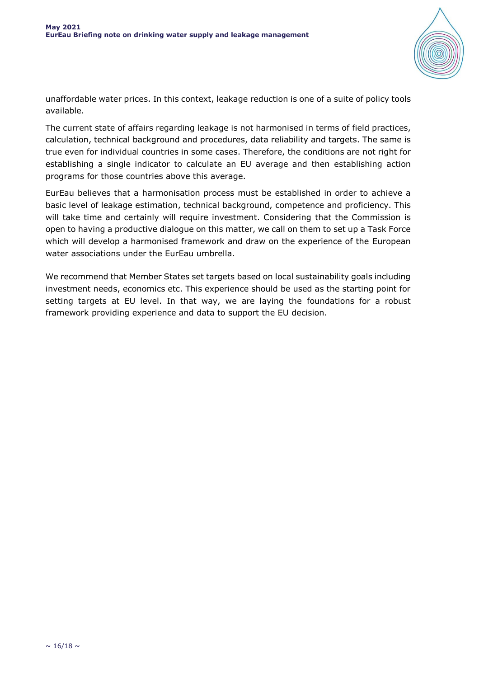

unaffordable water prices. In this context, leakage reduction is one of a suite of policy tools available.

The current state of affairs regarding leakage is not harmonised in terms of field practices, calculation, technical background and procedures, data reliability and targets. The same is true even for individual countries in some cases. Therefore, the conditions are not right for establishing a single indicator to calculate an EU average and then establishing action programs for those countries above this average.

EurEau believes that a harmonisation process must be established in order to achieve a basic level of leakage estimation, technical background, competence and proficiency. This will take time and certainly will require investment. Considering that the Commission is open to having a productive dialogue on this matter, we call on them to set up a Task Force which will develop a harmonised framework and draw on the experience of the European water associations under the EurEau umbrella.

We recommend that Member States set targets based on local sustainability goals including investment needs, economics etc. This experience should be used as the starting point for setting targets at EU level. In that way, we are laying the foundations for a robust framework providing experience and data to support the EU decision.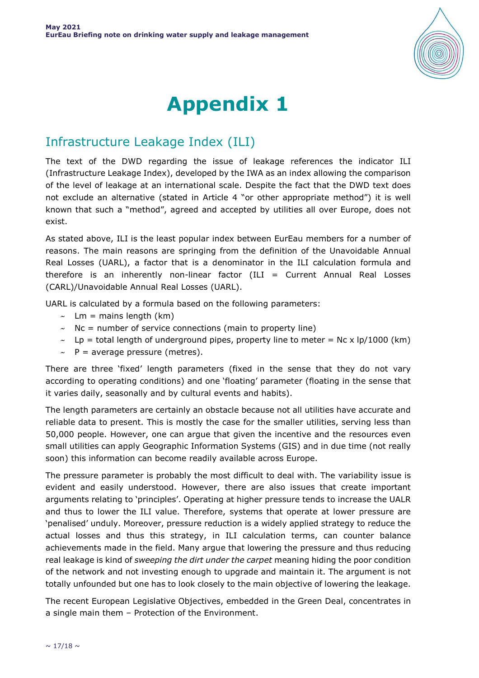

# **Appendix 1**

## Infrastructure Leakage Index (ILI)

The text of the DWD regarding the issue of leakage references the indicator ILI (Infrastructure Leakage Index), developed by the IWA as an index allowing the comparison of the level of leakage at an international scale. Despite the fact that the DWD text does not exclude an alternative (stated in Article 4 "or other appropriate method") it is well known that such a "method", agreed and accepted by utilities all over Europe, does not exist.

As stated above, ILI is the least popular index between EurEau members for a number of reasons. The main reasons are springing from the definition of the Unavoidable Annual Real Losses (UARL), a factor that is a denominator in the ILI calculation formula and therefore is an inherently non-linear factor (ILI = Current Annual Real Losses (CARL)/Unavoidable Annual Real Losses (UARL).

UARL is calculated by a formula based on the following parameters:

- $\sim$  Lm = mains length (km)
- $\sim$  Nc = number of service connections (main to property line)
- $\sim$  Lp = total length of underground pipes, property line to meter = Nc x lp/1000 (km)
- $\sim$  P = average pressure (metres).

There are three 'fixed' length parameters (fixed in the sense that they do not vary according to operating conditions) and one 'floating' parameter (floating in the sense that it varies daily, seasonally and by cultural events and habits).

The length parameters are certainly an obstacle because not all utilities have accurate and reliable data to present. This is mostly the case for the smaller utilities, serving less than 50,000 people. However, one can argue that given the incentive and the resources even small utilities can apply Geographic Information Systems (GIS) and in due time (not really soon) this information can become readily available across Europe.

The pressure parameter is probably the most difficult to deal with. The variability issue is evident and easily understood. However, there are also issues that create important arguments relating to 'principles'. Operating at higher pressure tends to increase the UALR and thus to lower the ILI value. Therefore, systems that operate at lower pressure are 'penalised' unduly. Moreover, pressure reduction is a widely applied strategy to reduce the actual losses and thus this strategy, in ILI calculation terms, can counter balance achievements made in the field. Many argue that lowering the pressure and thus reducing real leakage is kind of *sweeping the dirt under the carpet* meaning hiding the poor condition of the network and not investing enough to upgrade and maintain it. The argument is not totally unfounded but one has to look closely to the main objective of lowering the leakage.

The recent European Legislative Objectives, embedded in the Green Deal, concentrates in a single main them – Protection of the Environment.